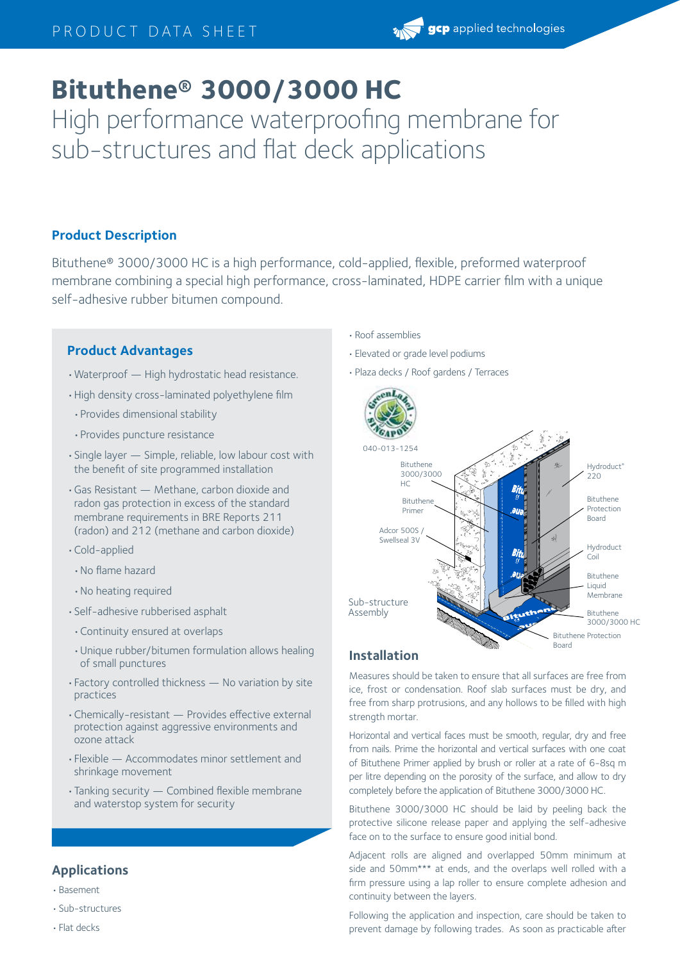# **Bituthene® 3000/3000 HC**

High performance waterproofing membrane for sub-structures and flat deck applications

# **Product Description**

Bituthene® 3000/3000 HC is a high performance, cold-applied, flexible, preformed waterproof membrane combining a special high performance, cross-laminated, HDPE carrier film with a unique self-adhesive rubber bitumen compound.

# **Product Advantages**

- •Waterproof High hydrostatic head resistance.
- •High density cross-laminated polyethylene film
- •Provides dimensional stability
- •Provides puncture resistance
- •Single layer Simple, reliable, low labour cost with the benefit of site programmed installation
- •Gas Resistant Methane, carbon dioxide and radon gas protection in excess of the standard membrane requirements in BRE Reports 211 (radon) and 212 (methane and carbon dioxide)
- •Cold-applied
- •No flame hazard
- •No heating required
- •Self-adhesive rubberised asphalt
- •Continuity ensured at overlaps
- •Unique rubber/bitumen formulation allows healing of small punctures
- •Factory controlled thickness No variation by site practices
- •Chemically-resistant Provides effective external protection against aggressive environments and ozone attack
- •Flexible Accommodates minor settlement and shrinkage movement
- •Tanking security Combined flexible membrane and waterstop system for security

# **Applications**

- •Basement
- •Sub-structures
- •Flat decks
- •Roof assemblies
- •Elevated or grade level podiums
- •Plaza decks / Roof gardens / Terraces



# **Installation**

Measures should be taken to ensure that all surfaces are free from ice, frost or condensation. Roof slab surfaces must be dry, and free from sharp protrusions, and any hollows to be filled with high strength mortar.

Horizontal and vertical faces must be smooth, regular, dry and free from nails. Prime the horizontal and vertical surfaces with one coat of Bituthene Primer applied by brush or roller at a rate of 6-8sq m per litre depending on the porosity of the surface, and allow to dry completely before the application of Bituthene 3000/3000 HC.

Bituthene 3000/3000 HC should be laid by peeling back the protective silicone release paper and applying the self-adhesive face on to the surface to ensure good initial bond.

Adjacent rolls are aligned and overlapped 50mm minimum at side and 50mm\*\*\* at ends, and the overlaps well rolled with a firm pressure using a lap roller to ensure complete adhesion and continuity between the layers.

Following the application and inspection, care should be taken to prevent damage by following trades. As soon as practicable after